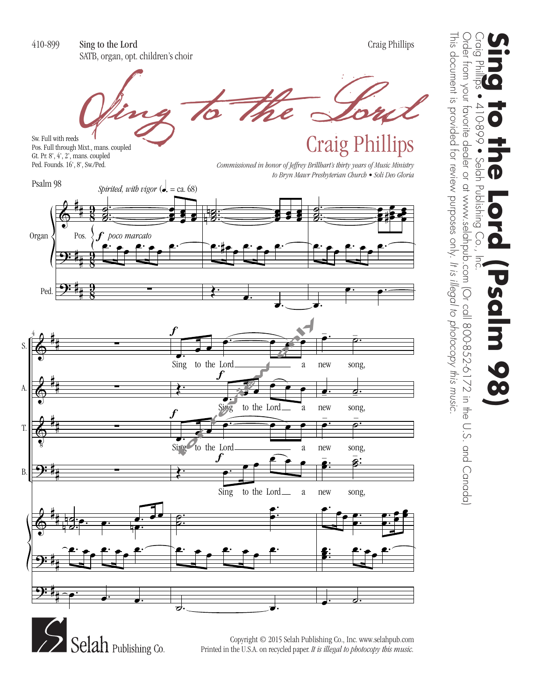

**Sing to the Lord (Psalm 98)**<br>Craig Phillips • 410-899 • Selah Publishing Co., Inc. Publishing SCI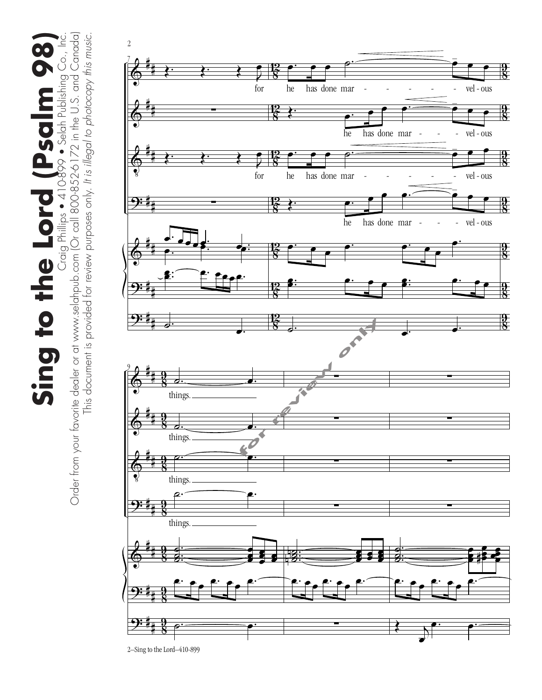Sing to the Lord (Psclinbishing Co., Inc. Order from your fovorite deder or at www.selahpub.com (Or call 800-852-6172 in the U.S. and Canada) Sing to the Lord (Psalm 98)<br>Craig Philips • 410-899 • Selah Publishing Co., Inc.



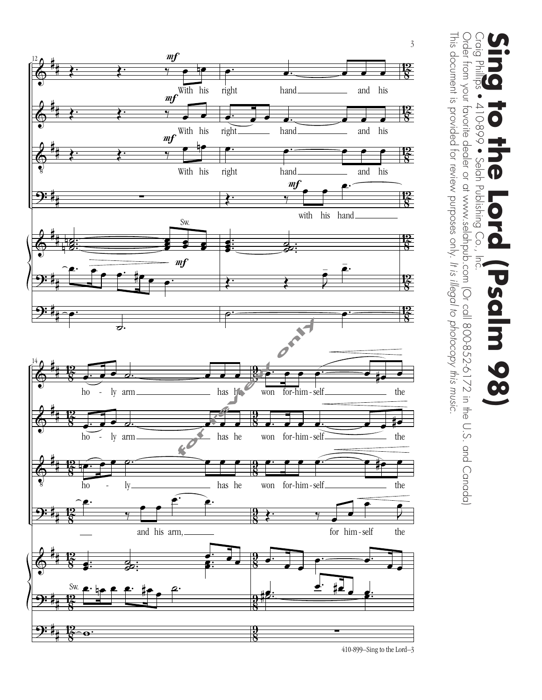

Order from your favorite dealer or at www.selahpub.com (Or call 800-852-6172 in the U.S. and Canada) Order from your favorite dealer or at www.selahpub.com (Or call 800-852-6172 in the U.S. and Canada) Craig Phill<br>Craig Phill **Sing to the Lord (Psalm 98)**<br>Craig Phillips • 410-899 • Selah Publishing Co., Inc. तु  $-668-017$ Selah Publishing Co.,  $\bullet$ salm 9 8

This document is provided for review purposes only.

This document is provided for review purposes only. It is illegal to photocopy this music.

410-899–Sing to the Lord–3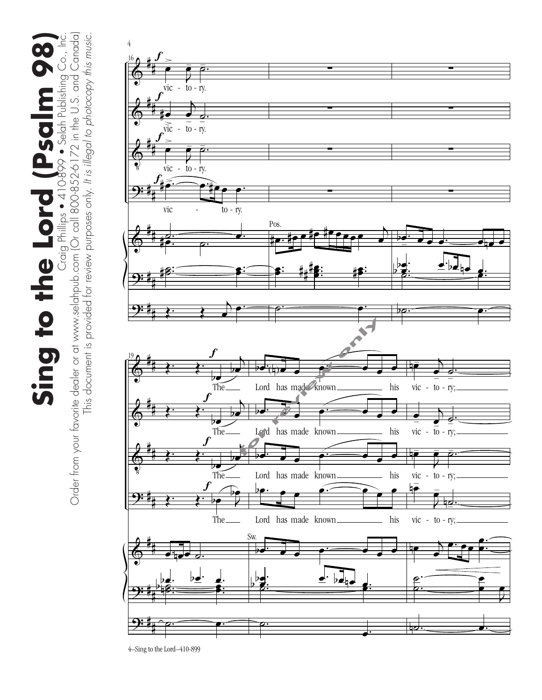Sing to the Lord (Psalm history 8)<br>Order from your favorite dealer or at www.selahopb.com (Or call 800-852-6172 in the U.S. and Canada) Order from your favorite dealer or at www.selahpub.com (Or call 800-852-6172 in the U.S. and Canada) Sing to the Lord (Psalm 98)<br>Craig Philips • 410-899 • Selah Publishing Co., Inc.

This document is provided for review purposes only. *It is illegal to photocopy this music.*

This document is provided for review purposes only. It is illegal to photocopy this music.

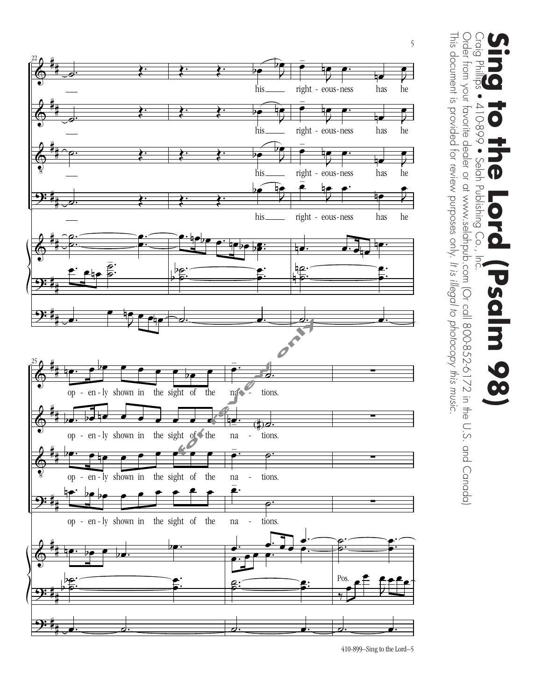

Craig Phill<br>Craig Phill Order from your favorite dealer or at www.selahpub.com (Or call 800-852-6172 in the U.S. and Canada) Order from your favorite dealer or at www.selahpub.com (Or call 800-852-6172 in the U.S. and Canada) **Sing to the Lord (Psalm 98)**<br>Craig Phillips • 410-899 • Selah Publishing Co., Inc. तु  $-668-017$ Selah Publishing Co.,  $\bullet$  $\overline{5}$  $\overline{\mathbf{U}}$ salm 98

This document is provided for review purposes only.

This document is provided for review purposes only. It is illegal to photocopy this music.

*It is illegal to photocopy this music.*

410-899–Sing to the Lord–5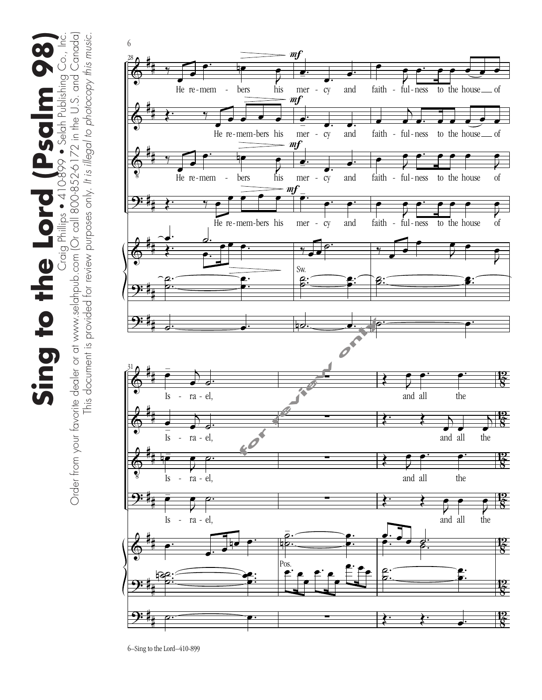Sing to the Lord (Psclinbishing Co., Inc.<br>Order from your favorite dealer or at www.selahopub.com (Or call 800-852-6172 in the U.S. and Canada) Sing to the Lord (Psalm 98)<br>Craig Philips • 410-899 • Selah Publishing Co., Inc.

Order from your favorite dealer or at www.selahpub.com (Or call 800-852-6172 in the U.S. and Canada) This document is provided for review purposes only. It is illegal to photocopy this music. This document is provided for review purposes only. *It is illegal to photocopy this music.*

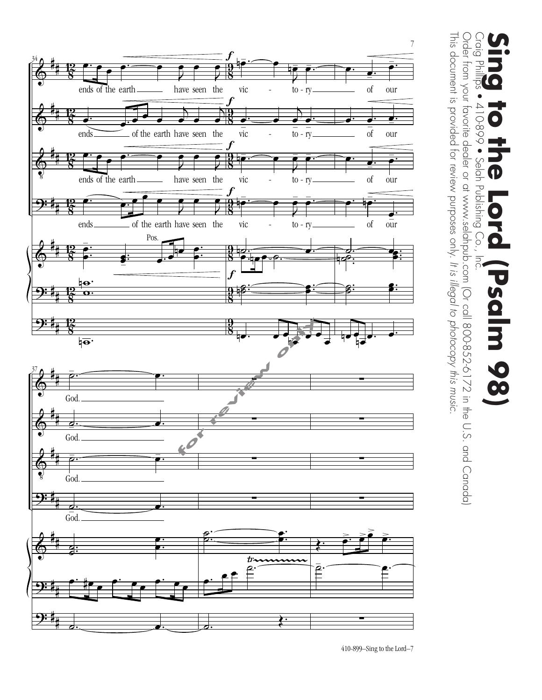

Craig Phill<br>Craig Phill Order from your favorite dealer or at www.selahpub.com (Or call 800-852-6172 in the U.S. and Canada) **Sing to the Lord (Psalm 98)**<br>Craig Phillips • 410-899 • Selah Publishing Co., Inc. ģ  $-668-017$ Selah Publishing Co.,  $\bullet$  $\bullet$  $rac{1}{2}$  $\bullet$ salm 98

This document is provided for review purposes only.

This document is provided for review purposes only. It is illegal to photocopy this music.

Order from your favorite dealer or at www.selahpub.com (Or call 800-852-6172 in the U.S. and Canada)

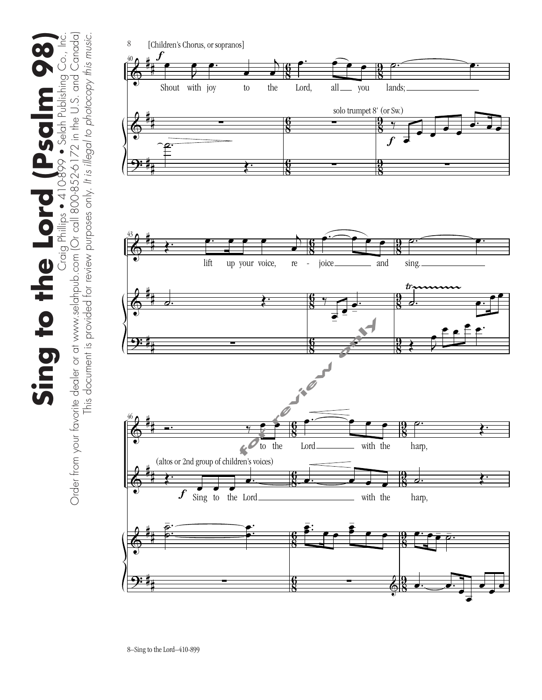Sing to the Lord (Psclinbishing Co., Inc.<br>Order from your favorite dealer or at www.selahopub.com (Or call 800-852-6172 in the U.S. and Canada) Order from your favorite dealer or at www.selahpub.com (Or call 800-852-6172 in the U.S. and Canada) Sing to the Lord (Psalm 98)<br>Craig Philips • 410-899 • Selah Publishing Co., Inc. This document is provided for review purposes only. *It is illegal to photocopy this music.* This document is provided for review purposes only. It is illegal to photocopy this music

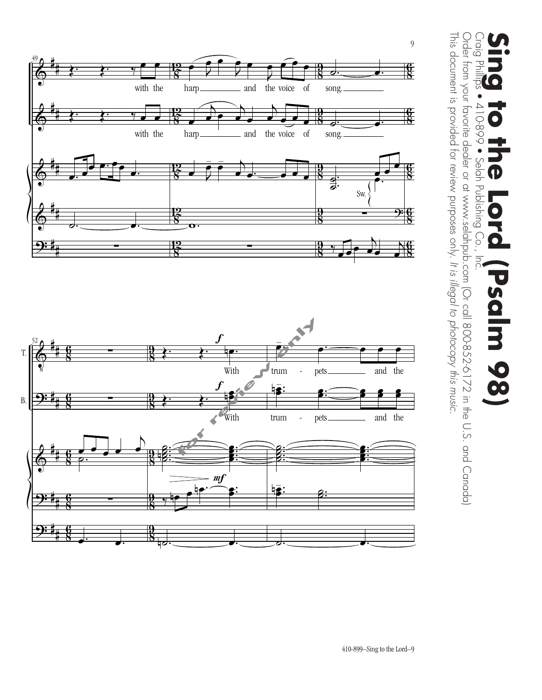

Order from your favorite dealer or at www.selahpub.com (Or call 800-852-6172 in the U.S. and Canada) Order from your favorite dealer or at www.selahpub.com (Or call 800-852-6172 in the U.S. and Canada) Craig Phill<br>Craig Phill **Sing to the Lord (Psalm 98)**<br>Craig Phillips • 410-899 • Selah Publishing Co., Inc. तु 410-899 • Selah Publishing Co.,  $\bullet$ DU  $\bullet$ salm 9  $\overline{\textbf{0}}$ 

This document is provided for review purposes only.

This document is provided for review purposes only. It is illegal to photocopy this music.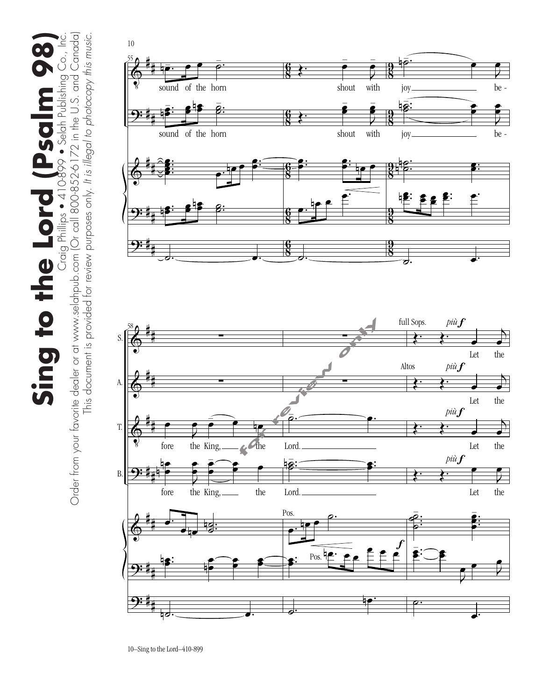Sing to the Lord (Psalm 98)<br>Craig Philips • 410-899 • Selah Publishing Co., Inc. Sing to the Lord (Psalm 98

Craig Phillips ● 410899 ● Selah Publishing Co., Inc.<br>Order from your favorite dealer or at www.selahpub.com (Or call 800-852-6172 in the U.S. and Canada) Order from your favorite dealer or at www.selahpub.com (Or call 800-852-6172 in the U.S. and Canada) This document is provided for review purposes only. It is illegal to photocopy this music. This document is provided for review purposes only. *It is illegal to photocopy this music.*

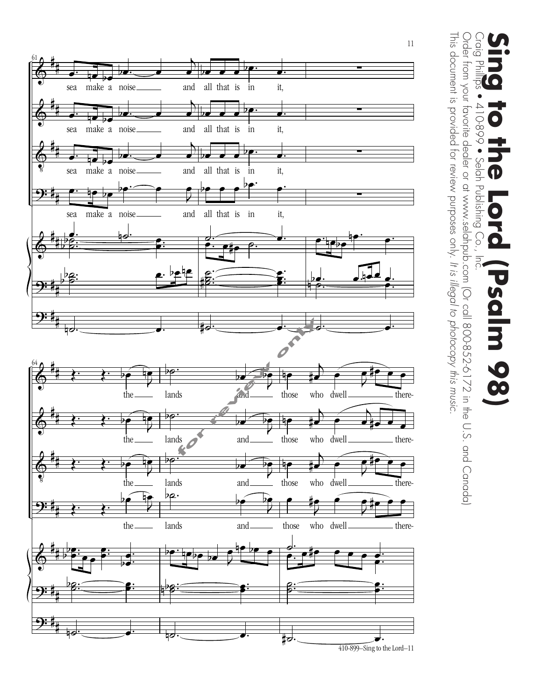

Order from your favorite dealer or at www.selahpub.com (Or call 800-852-6172 in the U.S. and Canada) Order from your favorite dealer or at www.selahpub.com (Or call 800-852-6172 in the U.S. and Canada) Craig Phill<br>Craig Phill **Sing to the Lord (Psalm 98)**<br>Craig Phillips • 410-899 • Selah Publishing Co., Inc.  $\overline{S}$  $-668-017$ Selah Publishing Co.,  $\bullet$  $\bullet$ DU  $\bullet$ salm 9 8

This document is provided for review purposes only.

This document is provided for review purposes only. It is illegal to photocopy this music.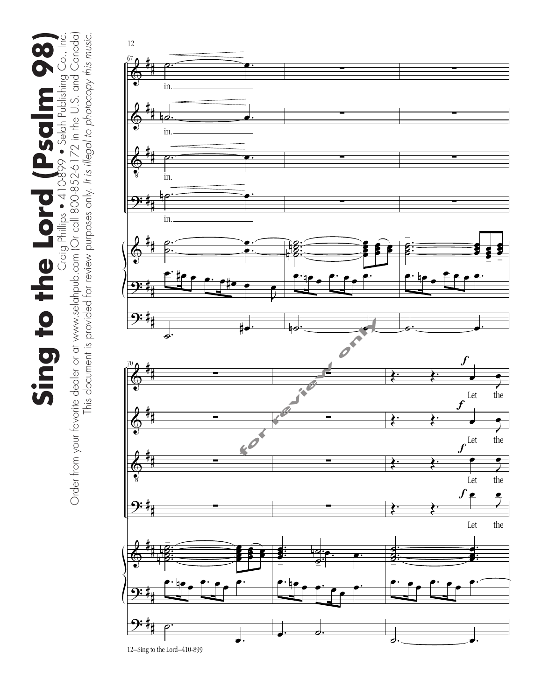Sing to the Lord (Psclinbishing Co., Inc. Order from your fovorite deder or at www.selahpub.com (Or call 800-852-6172 in the U.S. and Canada) Sing to the Lord (Psalm 98)<br>Craig Philips • 410-899 • Selah Publishing Co., Inc.

Order from your favorite dealer or at www.selahpub.com (Or call 800-852-6172 in the U.S. and Canada) This document is provided for review purposes only. It is illegal to photocopy this music. This document is provided for review purposes only. *It is illegal to photocopy this music.*

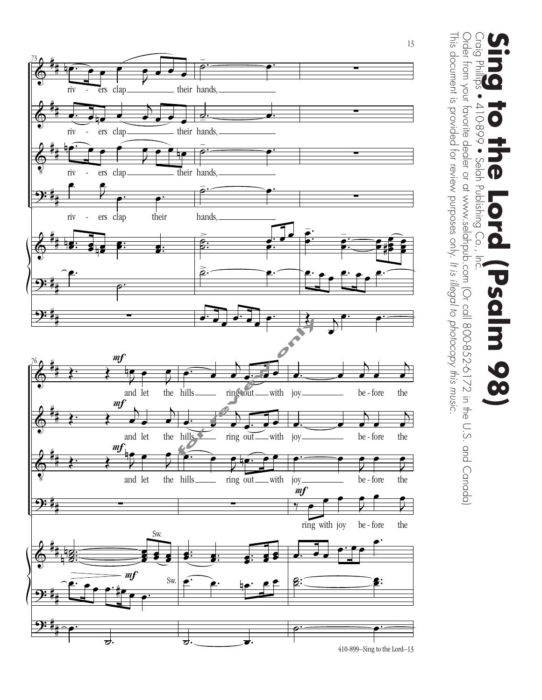

Order from your favorite dealer or at www.selahpub.com (Or call 800-852-6172 in the U.S. and Canada) Craig Phill<br>Craig Phill **Sing to the Lord (Psalm 98)**<br>Craig Phillips • 410-899 • Selah Publishing Co., Inc. ਹੁ  $-668-017$ Selah Publishing Co.,  $\blacksquare$ salm 9 8

This document is provided for review purposes only.

This document is provided for review purposes only. It is illegal to photocopy this music.

Order from your favorite dealer or at www.selahpub.com (Or call 800-852-6172 in the U.S. and Canada)

*It is illegal to photocopy this music.*

410-899–Sing to the Lord–13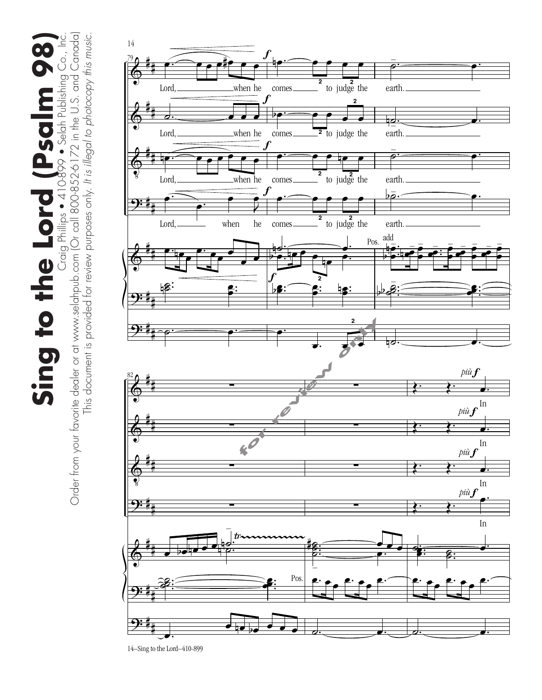Sing to the Lord (Psclinbishing Co., Inc. Order from your fovorite deder or at www.selahpub.com (Or call 800-852-6172 in the U.S. and Canada) Sing to the Lord (Psalm 98)<br>Craig Philips • 410-899 • Selah Publishing Co., Inc.

Order from your favorite dealer or at www.selahpub.com (Or call 800-852-6172 in the U.S. and Canada) This document is provided for review purposes only. It is illegal to photocopy this music. This document is provided for review purposes only. *It is illegal to photocopy this music.*

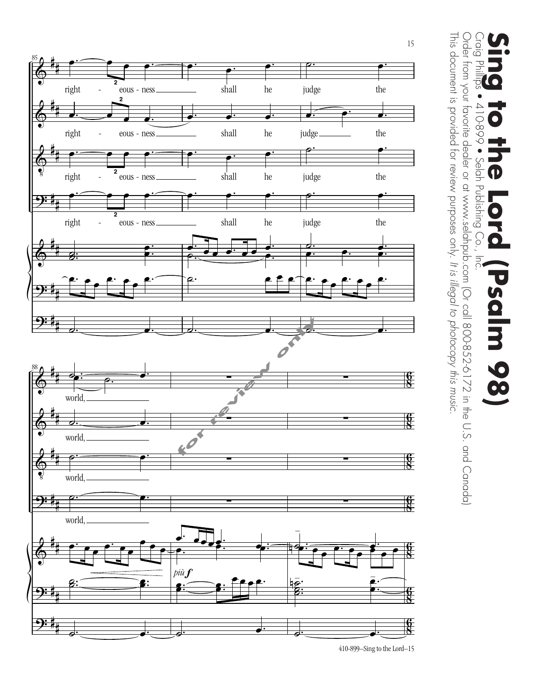

Craig Philli<br>Craig Philli Order from your favorite dealer or at www.selahpub.com (Or call 800-852-6172 in the U.S. and Canada) Order from your favorite dealer or at www.selahpub.com (Or call 800-852-6172 in the U.S. and Canada) **Sing to the Lord (Psalm 98)**<br>Craig Phillips • 410-899 • Selah Publishing Co., Inc. ģ  $-668-017$ Selah Publishing  $\bullet$  $\bigcirc$  $\overline{5}$  $\bullet$ salm 9  $\overline{\textbf{0}}$ 

This document is provided for review purposes only.

This document is provided for review purposes only. It is illegal to photocopy this music.

*It is illegal to photocopy this music.*

410-899–Sing to the Lord–15